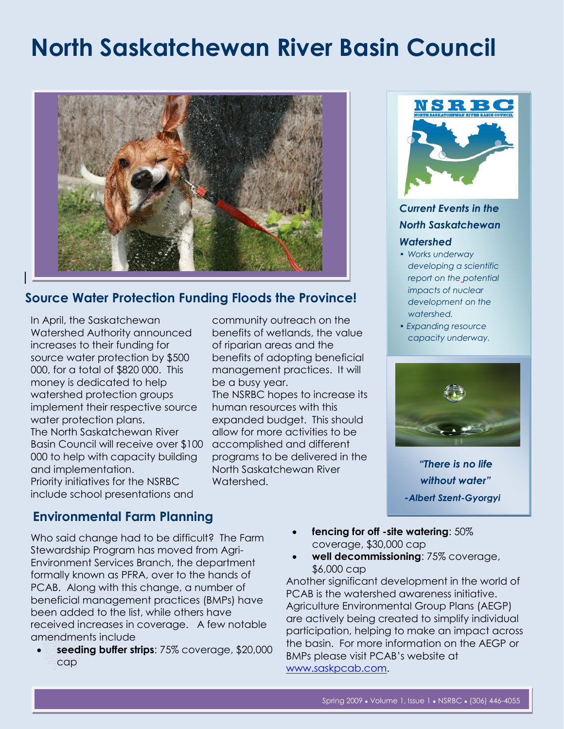# **North Saskatchewan River Basin Council**



## **Source Water Protection Funding Floods the Province!**

In April, the Saskatchewan Watershed Authority announced increases to their funding for source water protection by \$500 000, for a total of \$820 000. This money is dedicated to help watershed protection groups implement their respective source water protection plans. The North Saskatchewan River Basin Council will receive over \$100 000 to help with capacity building and implementation. Priority initiatives for the NSRBC include school presentations and

community outreach on the benefits of wetlands, the value of riparian areas and the benefits of adopting beneficial management practices. It will be a busy year. The NSRBC hopes to increase its human resources with this expanded budget. This should allow for more activities to be accomplished and different programs to be delivered in the North Saskatchewan River Watershed.



## *Current Events in the North Saskatchewan Watershed*

- *• Works underway developing a scientific report on the potential impacts of nuclear development on the watershed.*
- *Expanding resource capacity underway.*



*"There is no life without water" -Albert Szent-Gyorgyi*

## **Environmental Farm Planning**

Who said change had to be difficult? The Farm Stewardship Program has moved from Agri-Environment Services Branch, the department formally known as PFRA, over to the hands of PCAB. Along with this change, a number of beneficial management practices (BMPs) have been added to the list, while others have received increases in coverage. A few notable amendments include

 **seeding buffer strips**: 75% coverage, \$20,000 cap

- **fencing for off -site watering**: 50% coverage, \$30,000 cap
- **well decommissioning**: 75% coverage, \$6,000 cap

Another significant development in the world of PCAB is the watershed awareness initiative. Agriculture Environmental Group Plans (AEGP) are actively being created to simplify individual participation, helping to make an impact across the basin. For more information on the AEGP or BMPs please visit PCAB's website at [www.saskpcab.com.](http://www.saskpcab.com/)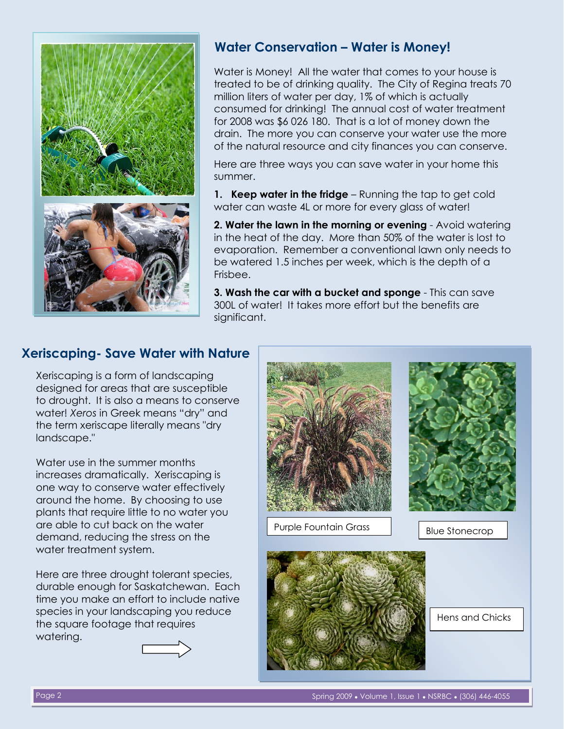

## **Water Conservation – Water is Money!**

Water is Money! All the water that comes to your house is treated to be of drinking quality. The City of Regina treats 70 million liters of water per day, 1% of which is actually consumed for drinking! The annual cost of water treatment for 2008 was \$6 026 180. That is a lot of money down the drain. The more you can conserve your water use the more of the natural resource and city finances you can conserve.

Here are three ways you can save water in your home this summer.

**1. Keep water in the fridge** – Running the tap to get cold water can waste 4L or more for every glass of water!

**2. Water the lawn in the morning or evening** - Avoid watering in the heat of the day. More than 50% of the water is lost to evaporation. Remember a conventional lawn only needs to be watered 1.5 inches per week, which is the depth of a Frisbee.

**3. Wash the car with a bucket and sponge** - This can save 300L of water! It takes more effort but the benefits are significant.

## **Xeriscaping- Save Water with Nature**

Xeriscaping is a form of landscaping designed for areas that are susceptible to drought. It is also a means to conserve water! *Xeros* in Greek means "dry" and the term xeriscape literally means "dry landscape."

Water use in the summer months increases dramatically. Xeriscaping is one way to conserve water effectively around the home. By choosing to use plants that require little to no water you are able to cut back on the water demand, reducing the stress on the water treatment system.

Here are three drought tolerant species, durable enough for Saskatchewan. Each time you make an effort to include native species in your landscaping you reduce the square footage that requires watering.





Page 2 Spring 2009 ● Volume 1, Issue 1 ● NSRBC ● (306) 446-4055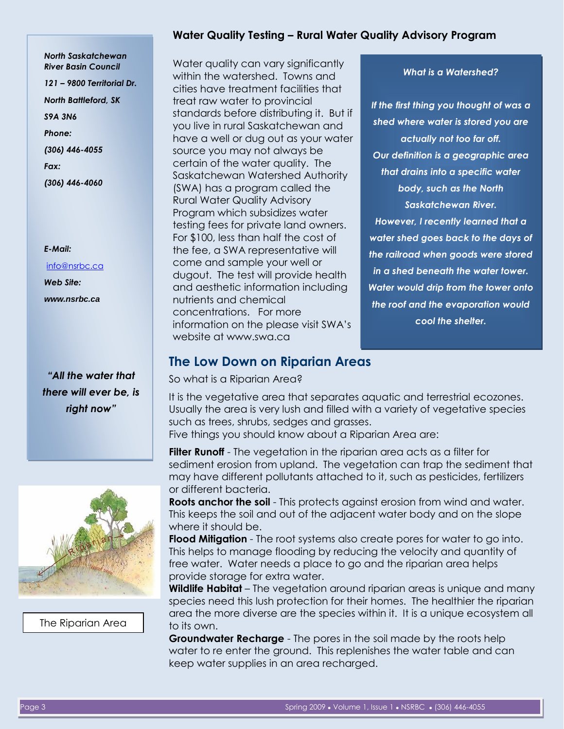## *North Saskatchewan River Basin Council 121 – 9800 Territorial Dr. North Battleford, SK S9A 3N6 Phone: (306) 446-4055 Fax: (306) 446-4060*

#### *E-Mail:*

[info@nsrbc.ca](mailto:info@nsrbc.ca) *Web Site: www.nsrbc.ca*

*"All the water that there will ever be, is right now"*



The Riparian Area

## **Water Quality Testing – Rural Water Quality Advisory Program**

Water quality can vary significantly within the watershed. Towns and cities have treatment facilities that treat raw water to provincial standards before distributing it. But if you live in rural Saskatchewan and have a well or dug out as your water source you may not always be certain of the water quality. The Saskatchewan Watershed Authority (SWA) has a program called the Rural Water Quality Advisory Program which subsidizes water testing fees for private land owners. For \$100, less than half the cost of the fee, a SWA representative will come and sample your well or dugout. The test will provide health and aesthetic information including nutrients and chemical concentrations. For more information on the please visit SWA's website at www.swa.ca

### *What is a Watershed?*

*If the first thing you thought of was a shed where water is stored you are actually not too far off. Our definition is a geographic area that drains into a specific water body, such as the North Saskatchewan River.*

*However, I recently learned that a water shed goes back to the days of the railroad when goods were stored in a shed beneath the water tower. Water would drip from the tower onto the roof and the evaporation would cool the shelter.*

## **The Low Down on Riparian Areas**

So what is a Riparian Area?

It is the vegetative area that separates aquatic and terrestrial ecozones. Usually the area is very lush and filled with a variety of vegetative species such as trees, shrubs, sedges and grasses.

Five things you should know about a Riparian Area are:

**Filter Runoff** - The vegetation in the riparian area acts as a filter for sediment erosion from upland. The vegetation can trap the sediment that may have different pollutants attached to it, such as pesticides, fertilizers or different bacteria.

**Roots anchor the soil** - This protects against erosion from wind and water. This keeps the soil and out of the adjacent water body and on the slope where it should be.

**Flood Mitigation** - The root systems also create pores for water to go into. This helps to manage flooding by reducing the velocity and quantity of free water. Water needs a place to go and the riparian area helps provide storage for extra water.

**Wildlife Habitat** – The vegetation around riparian areas is unique and many species need this lush protection for their homes. The healthier the riparian area the more diverse are the species within it. It is a unique ecosystem all to its own.

**Groundwater Recharge** - The pores in the soil made by the roots help water to re enter the ground. This replenishes the water table and can keep water supplies in an area recharged.